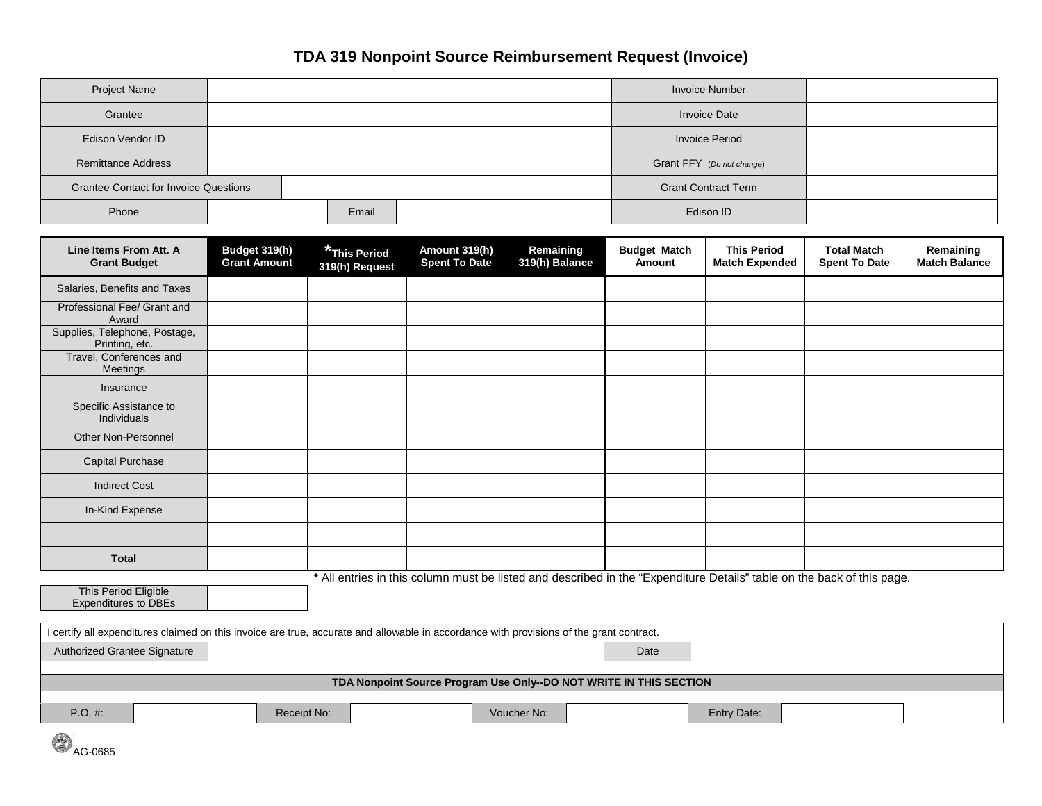## **TDA 319 Nonpoint Source Reimbursement Request (Invoice)**

| <b>Project Name</b>                          |  |       |  | <b>Invoice Number</b>      |  |
|----------------------------------------------|--|-------|--|----------------------------|--|
| Grantee                                      |  |       |  | <b>Invoice Date</b>        |  |
| Edison Vendor ID                             |  |       |  | <b>Invoice Period</b>      |  |
| <b>Remittance Address</b>                    |  |       |  | Grant FFY (Do not change)  |  |
| <b>Grantee Contact for Invoice Questions</b> |  |       |  | <b>Grant Contract Term</b> |  |
| Phone                                        |  | Email |  | Edison ID                  |  |

| Line Items From Att. A<br><b>Grant Budget</b>                                                                                          | Budget 319(h)<br><b>Grant Amount</b> | *This Period<br>319(h) Request | Amount 319(h)<br><b>Spent To Date</b> | Remaining<br>319(h) Balance | <b>Budget Match</b><br>Amount | <b>This Period</b><br><b>Match Expended</b>                                                                            | <b>Total Match</b><br><b>Spent To Date</b> | Remaining<br><b>Match Balance</b> |
|----------------------------------------------------------------------------------------------------------------------------------------|--------------------------------------|--------------------------------|---------------------------------------|-----------------------------|-------------------------------|------------------------------------------------------------------------------------------------------------------------|--------------------------------------------|-----------------------------------|
| Salaries, Benefits and Taxes                                                                                                           |                                      |                                |                                       |                             |                               |                                                                                                                        |                                            |                                   |
| Professional Fee/ Grant and<br>Award                                                                                                   |                                      |                                |                                       |                             |                               |                                                                                                                        |                                            |                                   |
| Supplies, Telephone, Postage,<br>Printing, etc.                                                                                        |                                      |                                |                                       |                             |                               |                                                                                                                        |                                            |                                   |
| Travel, Conferences and<br><b>Meetings</b>                                                                                             |                                      |                                |                                       |                             |                               |                                                                                                                        |                                            |                                   |
| Insurance                                                                                                                              |                                      |                                |                                       |                             |                               |                                                                                                                        |                                            |                                   |
| Specific Assistance to<br>Individuals                                                                                                  |                                      |                                |                                       |                             |                               |                                                                                                                        |                                            |                                   |
| Other Non-Personnel                                                                                                                    |                                      |                                |                                       |                             |                               |                                                                                                                        |                                            |                                   |
| <b>Capital Purchase</b>                                                                                                                |                                      |                                |                                       |                             |                               |                                                                                                                        |                                            |                                   |
| <b>Indirect Cost</b>                                                                                                                   |                                      |                                |                                       |                             |                               |                                                                                                                        |                                            |                                   |
| In-Kind Expense                                                                                                                        |                                      |                                |                                       |                             |                               |                                                                                                                        |                                            |                                   |
|                                                                                                                                        |                                      |                                |                                       |                             |                               |                                                                                                                        |                                            |                                   |
| <b>Total</b>                                                                                                                           |                                      |                                |                                       |                             |                               |                                                                                                                        |                                            |                                   |
|                                                                                                                                        |                                      |                                |                                       |                             |                               | * All entries in this column must be listed and described in the "Expenditure Details" table on the back of this page. |                                            |                                   |
| This Period Eligible<br><b>Expenditures to DBEs</b>                                                                                    |                                      |                                |                                       |                             |                               |                                                                                                                        |                                            |                                   |
| certify all expenditures claimed on this invoice are true, accurate and allowable in accordance with provisions of the grant contract. |                                      |                                |                                       |                             |                               |                                                                                                                        |                                            |                                   |
| Authorized Grantee Signature                                                                                                           |                                      |                                |                                       |                             | Date                          |                                                                                                                        |                                            |                                   |
| TDA Nonpoint Source Program Use Only--DO NOT WRITE IN THIS SECTION                                                                     |                                      |                                |                                       |                             |                               |                                                                                                                        |                                            |                                   |